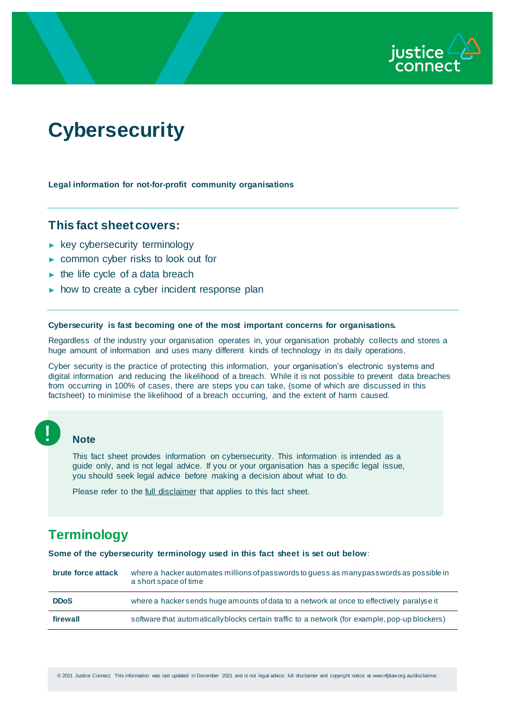

# **Cybersecurity**

**Legal information for not-for-profit community organisations**

## **This fact sheet covers:**

- ► key cybersecurity terminology
- ► common cyber risks to look out for
- $\blacktriangleright$  the life cycle of a data breach
- ► how to create a cyber incident response plan

#### **Cybersecurity is fast becoming one of the most important concerns for organisations.**

Regardless of the industry your organisation operates in, your organisation probably collects and stores a huge amount of information and uses many different kinds of technology in its daily operations.

Cyber security is the practice of protecting this information, your organisation's electronic systems and digital information and reducing the likelihood of a breach. While it is not possible to prevent data breaches from occurring in 100% of cases, there are steps you can take, (some of which are discussed in this factsheet) to minimise the likelihood of a breach occurring, and the extent of harm caused.

#### **Note**

This fact sheet provides information on cybersecurity. This information is intended as a guide only, and is not legal advice. If you or your organisation has a specific legal issue, you should seek legal advice before making a decision about what to do.

Please refer to the [full disclaimer](http://www.nfplaw.org.au/disclaimer) that applies to this fact sheet.

# **Terminology**

**Some of the cybersecurity terminology used in this fact sheet is set out below**:

| brute force attack | where a hacker automates millions of passwords to quess as many passwords as possible in<br>a short space of time |
|--------------------|-------------------------------------------------------------------------------------------------------------------|
| <b>DDoS</b>        | where a hacker sends huge amounts of data to a network at once to effectively paralyse it                         |
| firewall           | software that automatically blocks certain traffic to a network (for example, pop-up blockers)                    |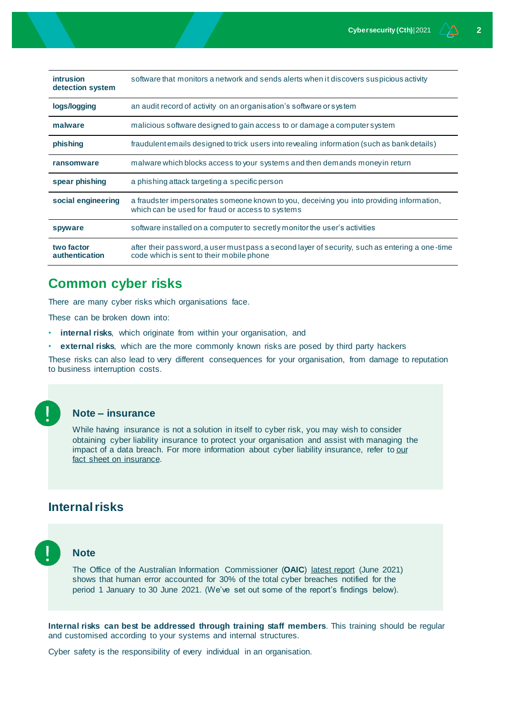| <b>intrusion</b><br>detection system | software that monitors a network and sends alerts when it discovers suspicious activity                                                      |
|--------------------------------------|----------------------------------------------------------------------------------------------------------------------------------------------|
| logs/logging                         | an audit record of activity on an organisation's software or system                                                                          |
| malware                              | malicious software designed to gain access to or damage a computer system                                                                    |
| phishing                             | fraudulent emails designed to trick users into revealing information (such as bank details)                                                  |
| ransomware                           | malware which blocks access to your systems and then demands money in return                                                                 |
| spear phishing                       | a phishing attack targeting a specific person                                                                                                |
| social engineering                   | a fraudster impersonates someone known to you, deceiving you into providing information,<br>which can be used for fraud or access to systems |
| spyware                              | software installed on a computer to secretly monitor the user's activities                                                                   |
| two factor<br><b>authentication</b>  | after their password, a user must pass a second layer of security, such as entering a one-time<br>code which is sent to their mobile phone   |

# **Common cyber risks**

There are many cyber risks which organisations face.

These can be broken down into:

- **internal risks**, which originate from within your organisation, and
- **external risks**, which are the more commonly known risks are posed by third party hackers

These risks can also lead to very different consequences for your organisation, from damage to reputation to business interruption costs.



#### **Note – insurance**

While having insurance is not a solution in itself to cyber risk, you may wish to consider obtaining cyber liability insurance to protect your organisation and assist with managing the impact of a data breach. For more information about cyber liability insurance, refer to our [fact sheet on insurance.](https://www.nfplaw.org.au/insurance) 

# **Internal risks**



#### **Note**

The Office of the Australian Information Commissioner (**OAIC**) [latest report](https://www.oaic.gov.au/privacy/notifiable-data-breaches/notifiable-data-breaches-statistics/notifiable-data-breaches-report-january-june-2021) (June 2021) shows that human error accounted for 30% of the total cyber breaches notified for the period 1 January to 30 June 2021. (We've set out some of the report's findings below).

**Internal risks can best be addressed through training staff members**. This training should be regular and customised according to your systems and internal structures.

Cyber safety is the responsibility of every individual in an organisation.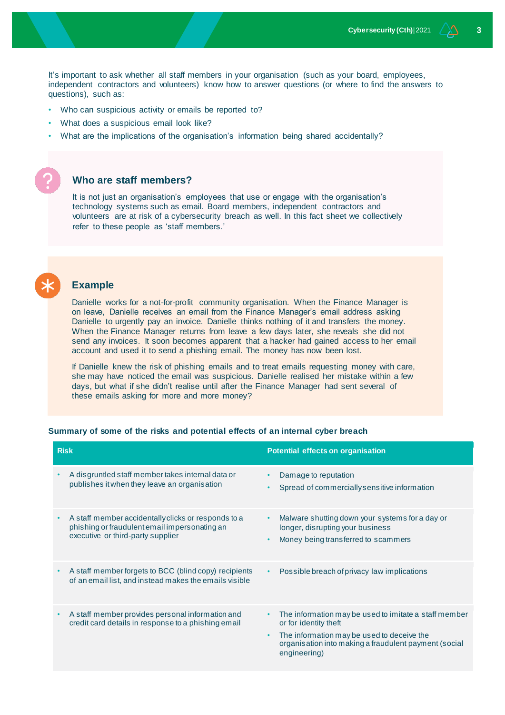It's important to ask whether all staff members in your organisation (such as your board, employees, independent contractors and volunteers) know how to answer questions (or where to find the answers to questions), such as:

- Who can suspicious activity or emails be reported to?
- What does a suspicious email look like?
- What are the implications of the organisation's information being shared accidentally?

#### **Who are staff members?**

It is not just an organisation's employees that use or engage with the organisation's technology systems such as email. Board members, independent contractors and volunteers are at risk of a cybersecurity breach as well. In this fact sheet we collectively refer to these people as 'staff members.'

# **Example**

Danielle works for a not-for-profit community organisation. When the Finance Manager is on leave, Danielle receives an email from the Finance Manager's email address asking Danielle to urgently pay an invoice. Danielle thinks nothing of it and transfers the money. When the Finance Manager returns from leave a few days later, she reveals she did not send any invoices. It soon becomes apparent that a hacker had gained access to her email account and used it to send a phishing email. The money has now been lost.

If Danielle knew the risk of phishing emails and to treat emails requesting money with care, she may have noticed the email was suspicious. Danielle realised her mistake within a few days, but what if she didn't realise until after the Finance Manager had sent several of these emails asking for more and more money?

#### **Summary of some of the risks and potential effects of an internal cyber breach**

| <b>Risk</b> |                                                                                                                                           | <b>Potential effects on organisation</b>                                                                                                                                                                                |  |
|-------------|-------------------------------------------------------------------------------------------------------------------------------------------|-------------------------------------------------------------------------------------------------------------------------------------------------------------------------------------------------------------------------|--|
|             | A disgruntled staff member takes internal data or<br>publishes it when they leave an organisation                                         | Damage to reputation<br>Spread of commercially sensitive information<br>$\bullet$                                                                                                                                       |  |
|             | A staff member accidentally clicks or responds to a<br>phishing or fraudulent email impersonating an<br>executive or third-party supplier | Malware shutting down your systems for a day or<br>$\bullet$<br>longer, disrupting your business<br>Money being transferred to scammers<br>٠                                                                            |  |
| $\bullet$   | A staff member forgets to BCC (blind copy) recipients<br>of an email list, and instead makes the emails visible                           | Possible breach of privacy law implications                                                                                                                                                                             |  |
|             | A staff member provides personal information and<br>credit card details in response to a phishing email                                   | The information may be used to imitate a staff member<br>٠<br>or for identity theft<br>The information may be used to deceive the<br>$\bullet$<br>organisation into making a fraudulent payment (social<br>engineering) |  |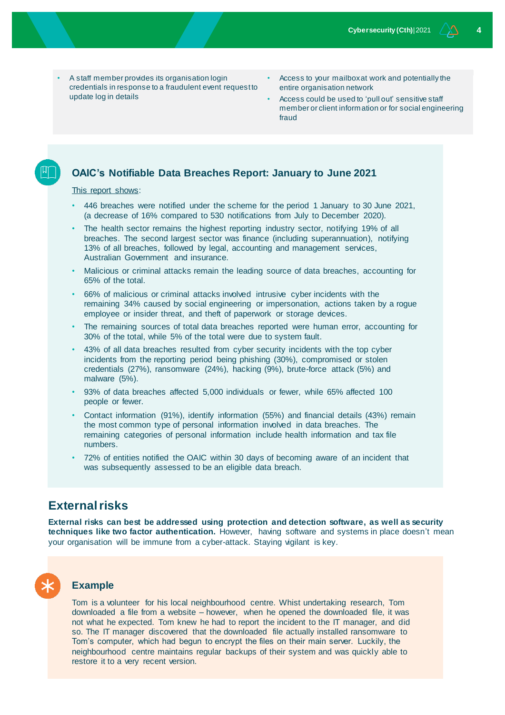- A staff member provides its organisation login credentials in response to a fraudulent event request to update log in details
- Access to your mailbox at work and potentially the entire organisation network
- Access could be used to 'pull out' sensitive staff member or client information or for social engineering fraud

#### **OAIC's Notifiable Data Breaches Report: January to June 2021**

[This report shows:](https://www.oaic.gov.au/privacy/notifiable-data-breaches/notifiable-data-breaches-statistics/notifiable-data-breaches-report-january-june-2021)

- 446 breaches were notified under the scheme for the period 1 January to 30 June 2021, (a decrease of 16% compared to 530 notifications from July to December 2020).
- The health sector remains the highest reporting industry sector, notifying 19% of all breaches. The second largest sector was finance (including superannuation), notifying 13% of all breaches, followed by legal, accounting and management services, Australian Government and insurance.
- Malicious or criminal attacks remain the leading source of data breaches, accounting for 65% of the total.
- 66% of malicious or criminal attacks involved intrusive cyber incidents with the remaining 34% caused by social engineering or impersonation, actions taken by a rogue employee or insider threat, and theft of paperwork or storage devices.
- The remaining sources of total data breaches reported were human error, accounting for 30% of the total, while 5% of the total were due to system fault.
- 43% of all data breaches resulted from cyber security incidents with the top cyber incidents from the reporting period being phishing (30%), compromised or stolen credentials (27%), ransomware (24%), hacking (9%), brute-force attack (5%) and malware (5%).
- 93% of data breaches affected 5,000 individuals or fewer, while 65% affected 100 people or fewer.
- Contact information (91%), identify information (55%) and financial details (43%) remain the most common type of personal information involved in data breaches. The remaining categories of personal information include health information and tax file numbers.
- 72% of entities notified the OAIC within 30 days of becoming aware of an incident that was subsequently assessed to be an eligible data breach.

# **External risks**

**External risks can best be addressed using protection and detection software, as well as security techniques like two factor authentication.** However, having software and systems in place doesn't mean your organisation will be immune from a cyber-attack. Staying vigilant is key.

#### **Example**

Tom is a volunteer for his local neighbourhood centre. Whist undertaking research, Tom downloaded a file from a website – however, when he opened the downloaded file, it was not what he expected. Tom knew he had to report the incident to the IT manager, and did so. The IT manager discovered that the downloaded file actually installed ransomware to Tom's computer, which had begun to encrypt the files on their main server. Luckily, the neighbourhood centre maintains regular backups of their system and was quickly able to restore it to a very recent version.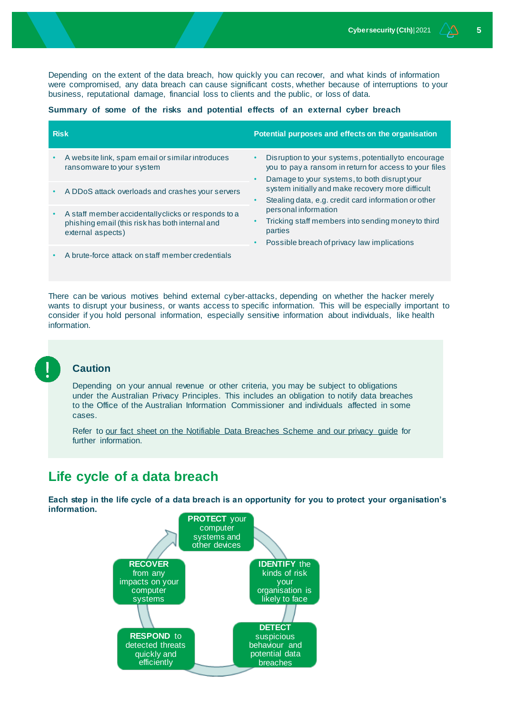Depending on the extent of the data breach, how quickly you can recover, and what kinds of information were compromised, any data breach can cause significant costs, whether because of interruptions to your business, reputational damage, financial loss to clients and the public, or loss of data.

#### **Summary of some of the risks and potential effects of an external cyber breach**

| <b>Risk</b> |                                                                                                                             | Potential purposes and effects on the organisation                                                                                                                                       |  |
|-------------|-----------------------------------------------------------------------------------------------------------------------------|------------------------------------------------------------------------------------------------------------------------------------------------------------------------------------------|--|
|             | A website link, spam email or similar introduces<br>ransom ware to your system                                              | Disruption to your systems, potentially to encourage<br>$\bullet$<br>you to pay a ransom in return for access to your files<br>Damage to your systems, to both disrupt your<br>$\bullet$ |  |
|             | A DDoS attack overloads and crashes your servers                                                                            | system initially and make recovery more difficult<br>Stealing data, e.g. credit card information or other<br>٠                                                                           |  |
|             | A staff member accidentally clicks or responds to a<br>phishing email (this risk has both internal and<br>external aspects) | personal information<br>Tricking staff members into sending moneyto third<br>parties                                                                                                     |  |
|             | A brute-force attack on staff member credentials                                                                            | Possible breach of privacy law implications<br>$\bullet$                                                                                                                                 |  |

There can be various motives behind external cyber-attacks, depending on whether the hacker merely wants to disrupt your business, or wants access to specific information. This will be especially important to consider if you hold personal information, especially sensitive information about individuals, like health information.



### **Caution**

Depending on your annual revenue or other criteria, you may be subject to obligations under the Australian Privacy Principles. This includes an obligation to notify data breaches to the Office of the Australian Information Commissioner and individuals affected in some cases.

Refer to [our fact sheet on the Notifiable Data Breaches Scheme and our privacy guide](http://www.nfplaw.org.au/privacy) for further information.

# **Life cycle of a data breach**

**Each step in the life cycle of a data breach is an opportunity for you to protect your organisation's information.** 

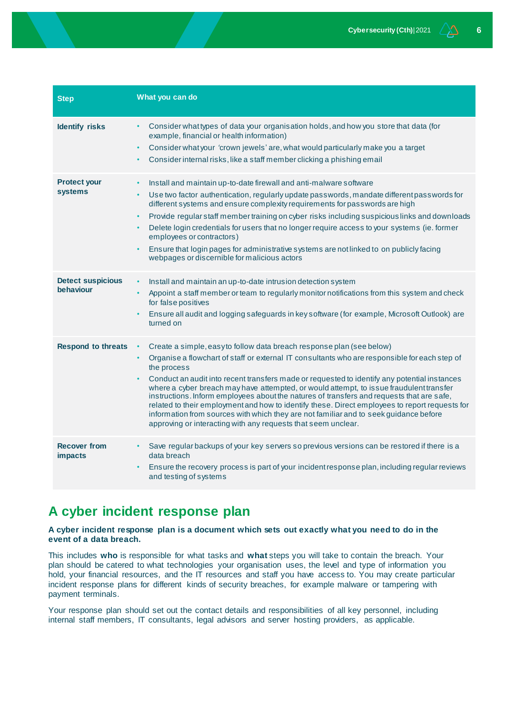| <b>Step</b>                           | What you can do                                                                                                                                                                                                                                                                                                                                                                                                                                                                                                                                                                                                                                                                                                                                        |
|---------------------------------------|--------------------------------------------------------------------------------------------------------------------------------------------------------------------------------------------------------------------------------------------------------------------------------------------------------------------------------------------------------------------------------------------------------------------------------------------------------------------------------------------------------------------------------------------------------------------------------------------------------------------------------------------------------------------------------------------------------------------------------------------------------|
| <b>Identify risks</b>                 | Consider what types of data your organisation holds, and how you store that data (for<br>example, financial or health information)<br>Consider what your 'crown jewels' are, what would particularly make you a target<br>$\bullet$<br>Consider internal risks, like a staff member clicking a phishing email                                                                                                                                                                                                                                                                                                                                                                                                                                          |
| <b>Protect your</b><br>systems        | Install and maintain up-to-date firewall and anti-malware software<br>$\bullet$<br>Use two factor authentication, regularly update passwords, mandate different passwords for<br>$\bullet$<br>different systems and ensure complexity requirements for passwords are high<br>Provide regular staff member training on cyber risks including suspicious links and downloads<br>$\bullet$<br>Delete login credentials for users that no longer require access to your systems (ie. former<br>employees or contractors)<br>Ensure that login pages for administrative systems are not linked to on publicly facing<br>webpages or discernible for malicious actors                                                                                        |
| <b>Detect suspicious</b><br>behaviour | Install and maintain an up-to-date intrusion detection system<br>Appoint a staff member or team to regularly monitor notifications from this system and check<br>for false positives<br>Ensure all audit and logging safeguards in key software (for example, Microsoft Outlook) are<br>turned on                                                                                                                                                                                                                                                                                                                                                                                                                                                      |
| <b>Respond to threats</b>             | Create a simple, easy to follow data breach response plan (see below)<br>Organise a flowchart of staff or external IT consultants who are responsible for each step of<br>$\bullet$<br>the process<br>Conduct an audit into recent transfers made or requested to identify any potential instances<br>where a cyber breach may have attempted, or would attempt, to issue fraudulent transfer<br>instructions. Inform employees about the natures of transfers and requests that are safe,<br>related to their employment and how to identify these. Direct employees to report requests for<br>information from sources with which they are not familiar and to seek guidance before<br>approving or interacting with any requests that seem unclear. |
| <b>Recover from</b><br><b>impacts</b> | Save regular backups of your key servers so previous versions can be restored if there is a<br>data breach<br>Ensure the recovery process is part of your incident response plan, including regular reviews<br>$\bullet$<br>and testing of systems                                                                                                                                                                                                                                                                                                                                                                                                                                                                                                     |

# **A cyber incident response plan**

**A cyber incident response plan is a document which sets out exactly what you need to do in the event of a data breach.**

This includes **who** is responsible for what tasks and **what** steps you will take to contain the breach. Your plan should be catered to what technologies your organisation uses, the level and type of information you hold, your financial resources, and the IT resources and staff you have access to. You may create particular incident response plans for different kinds of security breaches, for example malware or tampering with payment terminals.

Your response plan should set out the contact details and responsibilities of all key personnel, including internal staff members, IT consultants, legal advisors and server hosting providers, as applicable.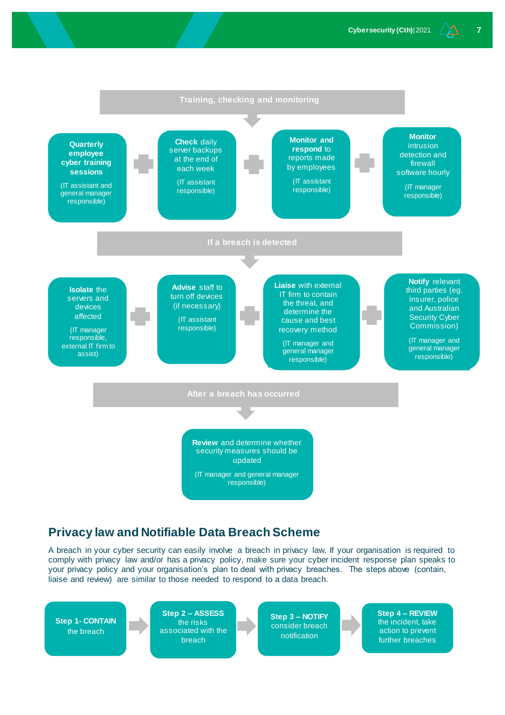

# **Privacy law and Notifiable Data Breach Scheme**

A breach in your cyber security can easily involve a breach in privacy law. If your organisation is required to comply with privacy law and/or has a privacy policy, make sure your cyber incident response plan speaks to your privacy policy and your organisation's plan to deal with privacy breaches. The steps above (contain, liaise and review) are similar to those needed to respond to a data breach.

**Step 1- CONTAIN** the breach

**Step 2 – ASSESS** the risks associated with the breach

**Step 3 – NOTIFY** consider breach notification

**Step 4 – REVIEW**  the incident, take action to prevent further breaches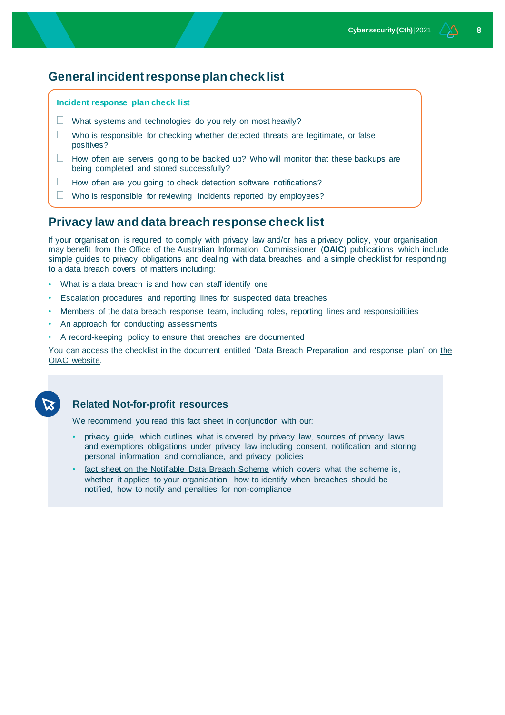# **General incident response plan check list**

#### **Incident response plan check list**

- $\Box$  What systems and technologies do you rely on most heavily?
- $\Box$  Who is responsible for checking whether detected threats are legitimate, or false positives?
- $\Box$  How often are servers going to be backed up? Who will monitor that these backups are being completed and stored successfully?
- $\Box$  How often are you going to check detection software notifications?
- $\Box$  Who is responsible for reviewing incidents reported by employees?

# **Privacy law and data breach response check list**

If your organisation is required to comply with privacy law and/or has a privacy policy, your organisation may benefit from the Office of the Australian Information Commissioner (**OAIC**) publications which include simple guides to privacy obligations and dealing with data breaches and a simple checklist for responding to a data breach covers of matters including:

- What is a data breach is and how can staff identify one
- Escalation procedures and reporting lines for suspected data breaches
- Members of the data breach response team, including roles, reporting lines and responsibilities
- An approach for conducting assessments
- A record-keeping policy to ensure that breaches are documented

You can access the checklist in the document entitled 'Data Breach Preparation and response plan' o[n the](http://www.oiac.gov.au/)  [OIAC website.](http://www.oiac.gov.au/)



#### **Related Not-for-profit resources**

We recommend you read this fact sheet in conjunction with our:

- [privacy guide,](http://www.nfplaw.org.au/privacy) which outlines what is covered by privacy law, sources of privacy laws and exemptions obligations under privacy law including consent, notification and storing personal information and compliance, and privacy policies
- [fact sheet on the Notifiable Data Breach Scheme](http://www.nfplaw.org.au/privacy) which covers what the scheme is, whether it applies to your organisation, how to identify when breaches should be notified, how to notify and penalties for non-compliance